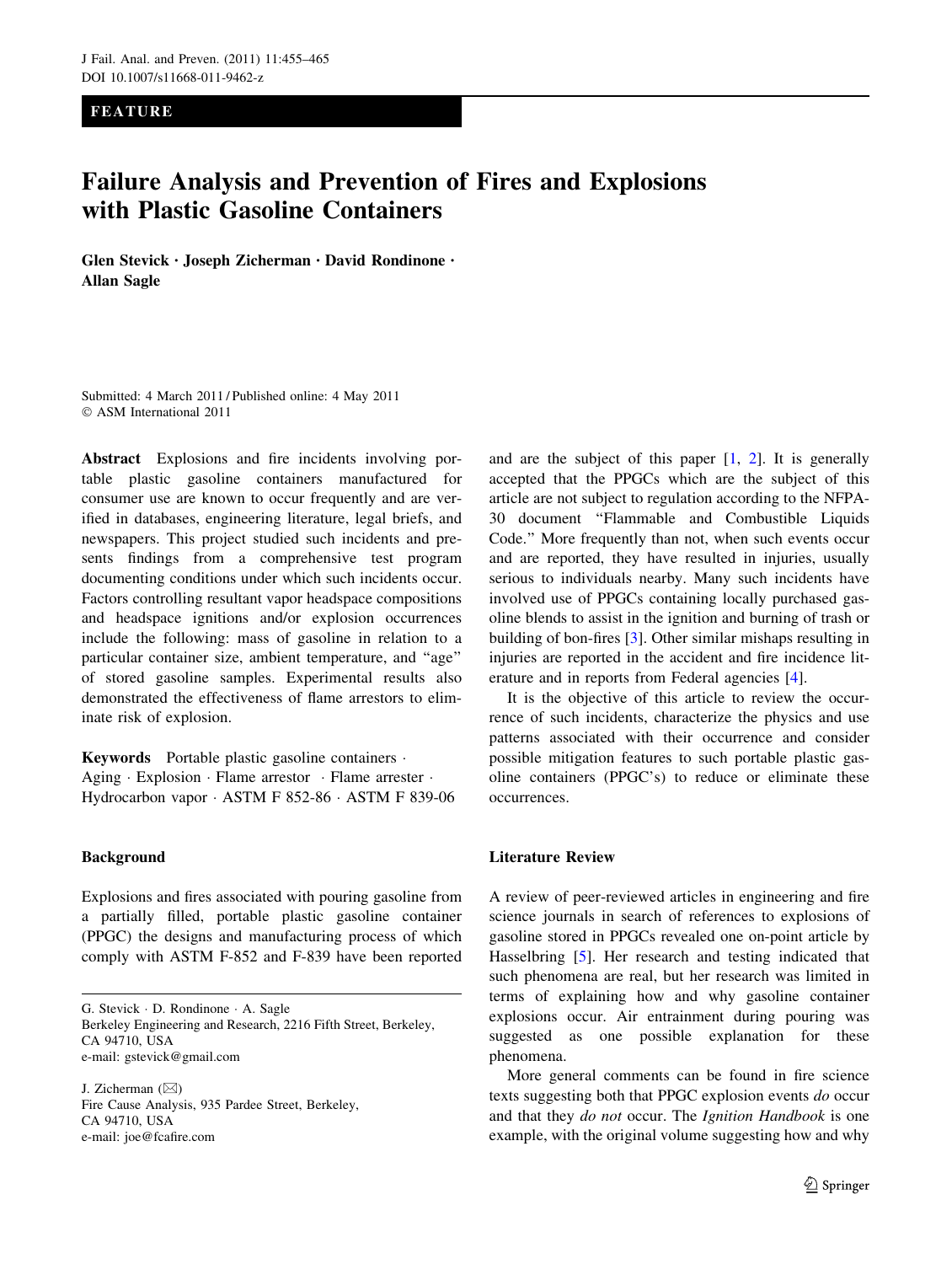FEATURE

# Failure Analysis and Prevention of Fires and Explosions with Plastic Gasoline Containers

Glen Stevick • Joseph Zicherman • David Rondinone • Allan Sagle

Submitted: 4 March 2011 / Published online: 4 May 2011 © ASM International 2011

Abstract Explosions and fire incidents involving portable plastic gasoline containers manufactured for consumer use are known to occur frequently and are verified in databases, engineering literature, legal briefs, and newspapers. This project studied such incidents and presents findings from a comprehensive test program documenting conditions under which such incidents occur. Factors controlling resultant vapor headspace compositions and headspace ignitions and/or explosion occurrences include the following: mass of gasoline in relation to a particular container size, ambient temperature, and ''age'' of stored gasoline samples. Experimental results also demonstrated the effectiveness of flame arrestors to eliminate risk of explosion.

Keywords Portable plastic gasoline containers . Aging · Explosion · Flame arrestor · Flame arrester · Hydrocarbon vapor - ASTM F 852-86 - ASTM F 839-06

## Background

Explosions and fires associated with pouring gasoline from a partially filled, portable plastic gasoline container (PPGC) the designs and manufacturing process of which comply with ASTM F-852 and F-839 have been reported

G. Stevick - D. Rondinone - A. Sagle Berkeley Engineering and Research, 2216 Fifth Street, Berkeley, CA 94710, USA e-mail: gstevick@gmail.com

J. Zicherman  $(\boxtimes)$ Fire Cause Analysis, 935 Pardee Street, Berkeley, CA 94710, USA e-mail: joe@fcafire.com

and are the subject of this paper [\[1](#page-9-0), [2\]](#page-9-0). It is generally accepted that the PPGCs which are the subject of this article are not subject to regulation according to the NFPA-30 document ''Flammable and Combustible Liquids Code.'' More frequently than not, when such events occur and are reported, they have resulted in injuries, usually serious to individuals nearby. Many such incidents have involved use of PPGCs containing locally purchased gasoline blends to assist in the ignition and burning of trash or building of bon-fires [\[3](#page-9-0)]. Other similar mishaps resulting in injuries are reported in the accident and fire incidence literature and in reports from Federal agencies [[4\]](#page-9-0).

It is the objective of this article to review the occurrence of such incidents, characterize the physics and use patterns associated with their occurrence and consider possible mitigation features to such portable plastic gasoline containers (PPGC's) to reduce or eliminate these occurrences.

## Literature Review

A review of peer-reviewed articles in engineering and fire science journals in search of references to explosions of gasoline stored in PPGCs revealed one on-point article by Hasselbring [\[5](#page-9-0)]. Her research and testing indicated that such phenomena are real, but her research was limited in terms of explaining how and why gasoline container explosions occur. Air entrainment during pouring was suggested as one possible explanation for these phenomena.

More general comments can be found in fire science texts suggesting both that PPGC explosion events do occur and that they do not occur. The Ignition Handbook is one example, with the original volume suggesting how and why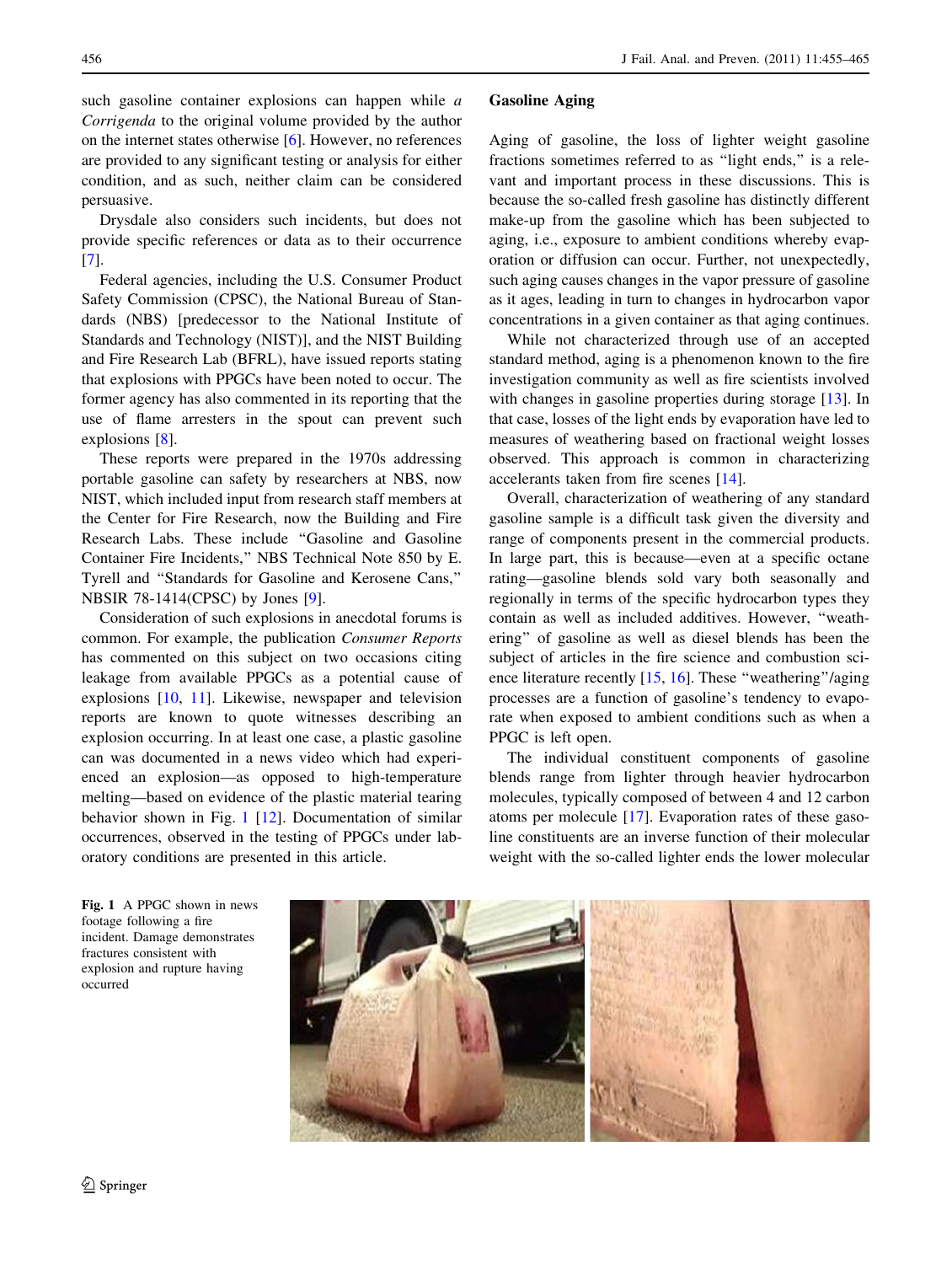such gasoline container explosions can happen while a Corrigenda to the original volume provided by the author on the internet states otherwise [[6\]](#page-9-0). However, no references are provided to any significant testing or analysis for either condition, and as such, neither claim can be considered persuasive.

Drysdale also considers such incidents, but does not provide specific references or data as to their occurrence [\[7](#page-9-0)].

Federal agencies, including the U.S. Consumer Product Safety Commission (CPSC), the National Bureau of Standards (NBS) [predecessor to the National Institute of Standards and Technology (NIST)], and the NIST Building and Fire Research Lab (BFRL), have issued reports stating that explosions with PPGCs have been noted to occur. The former agency has also commented in its reporting that the use of flame arresters in the spout can prevent such explosions [\[8](#page-9-0)].

These reports were prepared in the 1970s addressing portable gasoline can safety by researchers at NBS, now NIST, which included input from research staff members at the Center for Fire Research, now the Building and Fire Research Labs. These include ''Gasoline and Gasoline Container Fire Incidents,'' NBS Technical Note 850 by E. Tyrell and ''Standards for Gasoline and Kerosene Cans,'' NBSIR 78-1414(CPSC) by Jones [\[9](#page-9-0)].

Consideration of such explosions in anecdotal forums is common. For example, the publication Consumer Reports has commented on this subject on two occasions citing leakage from available PPGCs as a potential cause of explosions [[10,](#page-9-0) [11](#page-9-0)]. Likewise, newspaper and television reports are known to quote witnesses describing an explosion occurring. In at least one case, a plastic gasoline can was documented in a news video which had experienced an explosion—as opposed to high-temperature melting—based on evidence of the plastic material tearing behavior shown in Fig. 1 [\[12](#page-9-0)]. Documentation of similar occurrences, observed in the testing of PPGCs under laboratory conditions are presented in this article.

## Gasoline Aging

Aging of gasoline, the loss of lighter weight gasoline fractions sometimes referred to as "light ends," is a relevant and important process in these discussions. This is because the so-called fresh gasoline has distinctly different make-up from the gasoline which has been subjected to aging, i.e., exposure to ambient conditions whereby evaporation or diffusion can occur. Further, not unexpectedly, such aging causes changes in the vapor pressure of gasoline as it ages, leading in turn to changes in hydrocarbon vapor concentrations in a given container as that aging continues.

While not characterized through use of an accepted standard method, aging is a phenomenon known to the fire investigation community as well as fire scientists involved with changes in gasoline properties during storage [\[13](#page-9-0)]. In that case, losses of the light ends by evaporation have led to measures of weathering based on fractional weight losses observed. This approach is common in characterizing accelerants taken from fire scenes [\[14](#page-9-0)].

Overall, characterization of weathering of any standard gasoline sample is a difficult task given the diversity and range of components present in the commercial products. In large part, this is because—even at a specific octane rating—gasoline blends sold vary both seasonally and regionally in terms of the specific hydrocarbon types they contain as well as included additives. However, ''weathering'' of gasoline as well as diesel blends has been the subject of articles in the fire science and combustion sci-ence literature recently [[15,](#page-9-0) [16\]](#page-9-0). These "weathering"/aging processes are a function of gasoline's tendency to evaporate when exposed to ambient conditions such as when a PPGC is left open.

The individual constituent components of gasoline blends range from lighter through heavier hydrocarbon molecules, typically composed of between 4 and 12 carbon atoms per molecule [\[17](#page-9-0)]. Evaporation rates of these gasoline constituents are an inverse function of their molecular weight with the so-called lighter ends the lower molecular

Fig. 1 A PPGC shown in news footage following a fire incident. Damage demonstrates fractures consistent with explosion and rupture having occurred

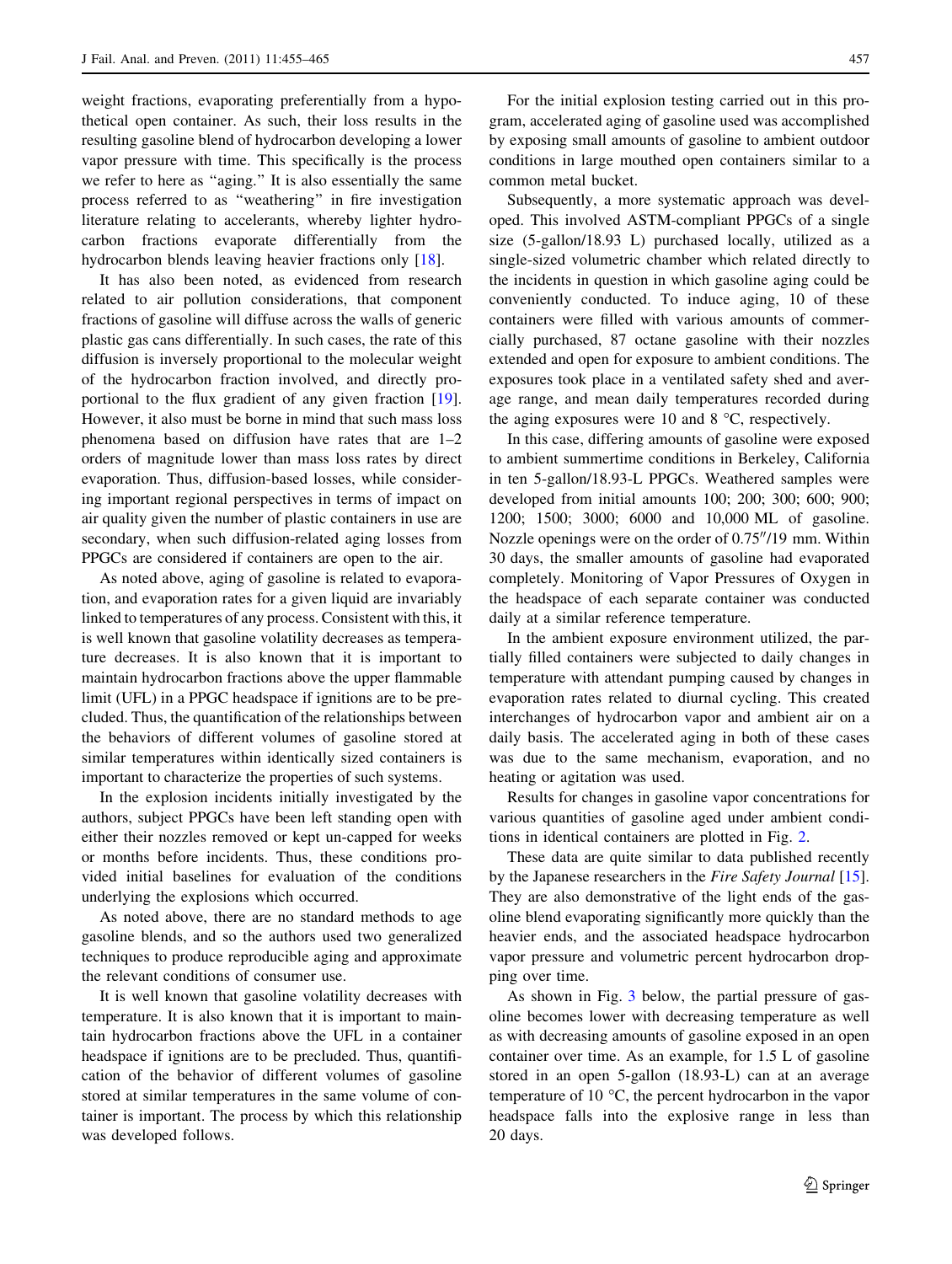weight fractions, evaporating preferentially from a hypothetical open container. As such, their loss results in the resulting gasoline blend of hydrocarbon developing a lower vapor pressure with time. This specifically is the process we refer to here as ''aging.'' It is also essentially the same process referred to as ''weathering'' in fire investigation literature relating to accelerants, whereby lighter hydrocarbon fractions evaporate differentially from the hydrocarbon blends leaving heavier fractions only [[18\]](#page-9-0).

It has also been noted, as evidenced from research related to air pollution considerations, that component fractions of gasoline will diffuse across the walls of generic plastic gas cans differentially. In such cases, the rate of this diffusion is inversely proportional to the molecular weight of the hydrocarbon fraction involved, and directly proportional to the flux gradient of any given fraction [\[19](#page-9-0)]. However, it also must be borne in mind that such mass loss phenomena based on diffusion have rates that are 1–2 orders of magnitude lower than mass loss rates by direct evaporation. Thus, diffusion-based losses, while considering important regional perspectives in terms of impact on air quality given the number of plastic containers in use are secondary, when such diffusion-related aging losses from PPGCs are considered if containers are open to the air.

As noted above, aging of gasoline is related to evaporation, and evaporation rates for a given liquid are invariably linked to temperatures of any process. Consistent with this, it is well known that gasoline volatility decreases as temperature decreases. It is also known that it is important to maintain hydrocarbon fractions above the upper flammable limit (UFL) in a PPGC headspace if ignitions are to be precluded. Thus, the quantification of the relationships between the behaviors of different volumes of gasoline stored at similar temperatures within identically sized containers is important to characterize the properties of such systems.

In the explosion incidents initially investigated by the authors, subject PPGCs have been left standing open with either their nozzles removed or kept un-capped for weeks or months before incidents. Thus, these conditions provided initial baselines for evaluation of the conditions underlying the explosions which occurred.

As noted above, there are no standard methods to age gasoline blends, and so the authors used two generalized techniques to produce reproducible aging and approximate the relevant conditions of consumer use.

It is well known that gasoline volatility decreases with temperature. It is also known that it is important to maintain hydrocarbon fractions above the UFL in a container headspace if ignitions are to be precluded. Thus, quantification of the behavior of different volumes of gasoline stored at similar temperatures in the same volume of container is important. The process by which this relationship was developed follows.

For the initial explosion testing carried out in this program, accelerated aging of gasoline used was accomplished by exposing small amounts of gasoline to ambient outdoor conditions in large mouthed open containers similar to a common metal bucket.

Subsequently, a more systematic approach was developed. This involved ASTM-compliant PPGCs of a single size (5-gallon/18.93 L) purchased locally, utilized as a single-sized volumetric chamber which related directly to the incidents in question in which gasoline aging could be conveniently conducted. To induce aging, 10 of these containers were filled with various amounts of commercially purchased, 87 octane gasoline with their nozzles extended and open for exposure to ambient conditions. The exposures took place in a ventilated safety shed and average range, and mean daily temperatures recorded during the aging exposures were 10 and 8  $\degree$ C, respectively.

In this case, differing amounts of gasoline were exposed to ambient summertime conditions in Berkeley, California in ten 5-gallon/18.93-L PPGCs. Weathered samples were developed from initial amounts 100; 200; 300; 600; 900; 1200; 1500; 3000; 6000 and 10,000 ML of gasoline. Nozzle openings were on the order of  $0.75''/19$  mm. Within 30 days, the smaller amounts of gasoline had evaporated completely. Monitoring of Vapor Pressures of Oxygen in the headspace of each separate container was conducted daily at a similar reference temperature.

In the ambient exposure environment utilized, the partially filled containers were subjected to daily changes in temperature with attendant pumping caused by changes in evaporation rates related to diurnal cycling. This created interchanges of hydrocarbon vapor and ambient air on a daily basis. The accelerated aging in both of these cases was due to the same mechanism, evaporation, and no heating or agitation was used.

Results for changes in gasoline vapor concentrations for various quantities of gasoline aged under ambient conditions in identical containers are plotted in Fig. [2](#page-3-0).

These data are quite similar to data published recently by the Japanese researchers in the Fire Safety Journal [\[15](#page-9-0)]. They are also demonstrative of the light ends of the gasoline blend evaporating significantly more quickly than the heavier ends, and the associated headspace hydrocarbon vapor pressure and volumetric percent hydrocarbon dropping over time.

As shown in Fig. [3](#page-3-0) below, the partial pressure of gasoline becomes lower with decreasing temperature as well as with decreasing amounts of gasoline exposed in an open container over time. As an example, for 1.5 L of gasoline stored in an open 5-gallon (18.93-L) can at an average temperature of 10  $\degree$ C, the percent hydrocarbon in the vapor headspace falls into the explosive range in less than 20 days.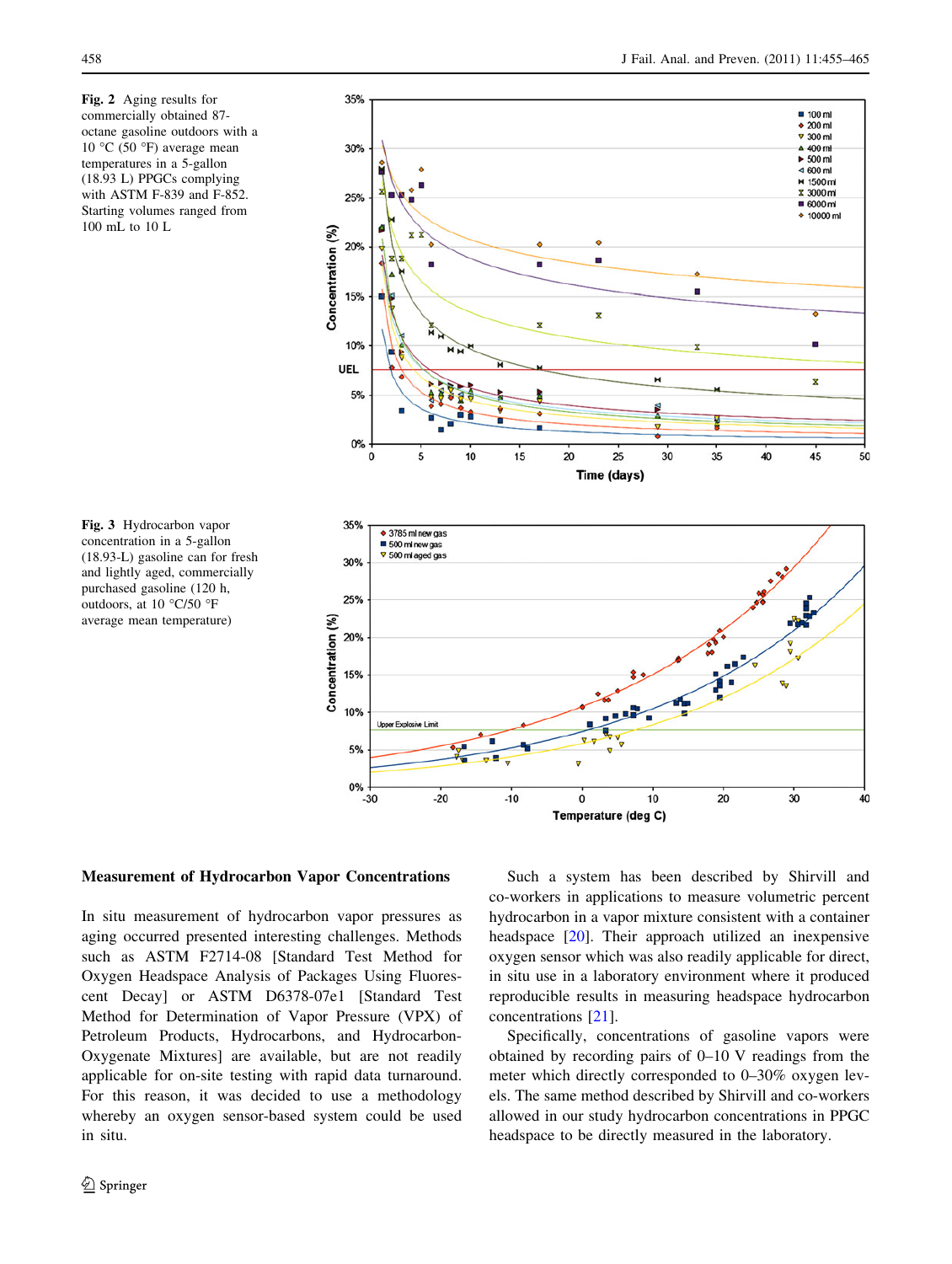<span id="page-3-0"></span>Fig. 2 Aging results for commercially obtained 87 octane gasoline outdoors with a 10 °C (50 °F) average mean temperatures in a 5-gallon (18.93 L) PPGCs complying with ASTM F-839 and F-852. Starting volumes ranged from 100 mL to 10 L



Fig. 3 Hydrocarbon vapor concentration in a 5-gallon (18.93-L) gasoline can for fresh and lightly aged, commercially purchased gasoline (120 h, outdoors, at 10 °C/50 °F average mean temperature)

## Measurement of Hydrocarbon Vapor Concentrations

In situ measurement of hydrocarbon vapor pressures as aging occurred presented interesting challenges. Methods such as ASTM F2714-08 [Standard Test Method for Oxygen Headspace Analysis of Packages Using Fluorescent Decay] or ASTM D6378-07e1 [Standard Test Method for Determination of Vapor Pressure (VPX) of Petroleum Products, Hydrocarbons, and Hydrocarbon-Oxygenate Mixtures] are available, but are not readily applicable for on-site testing with rapid data turnaround. For this reason, it was decided to use a methodology whereby an oxygen sensor-based system could be used in situ.

Such a system has been described by Shirvill and co-workers in applications to measure volumetric percent hydrocarbon in a vapor mixture consistent with a container headspace [[20\]](#page-9-0). Their approach utilized an inexpensive oxygen sensor which was also readily applicable for direct, in situ use in a laboratory environment where it produced reproducible results in measuring headspace hydrocarbon concentrations [\[21](#page-10-0)].

Specifically, concentrations of gasoline vapors were obtained by recording pairs of 0–10 V readings from the meter which directly corresponded to 0–30% oxygen levels. The same method described by Shirvill and co-workers allowed in our study hydrocarbon concentrations in PPGC headspace to be directly measured in the laboratory.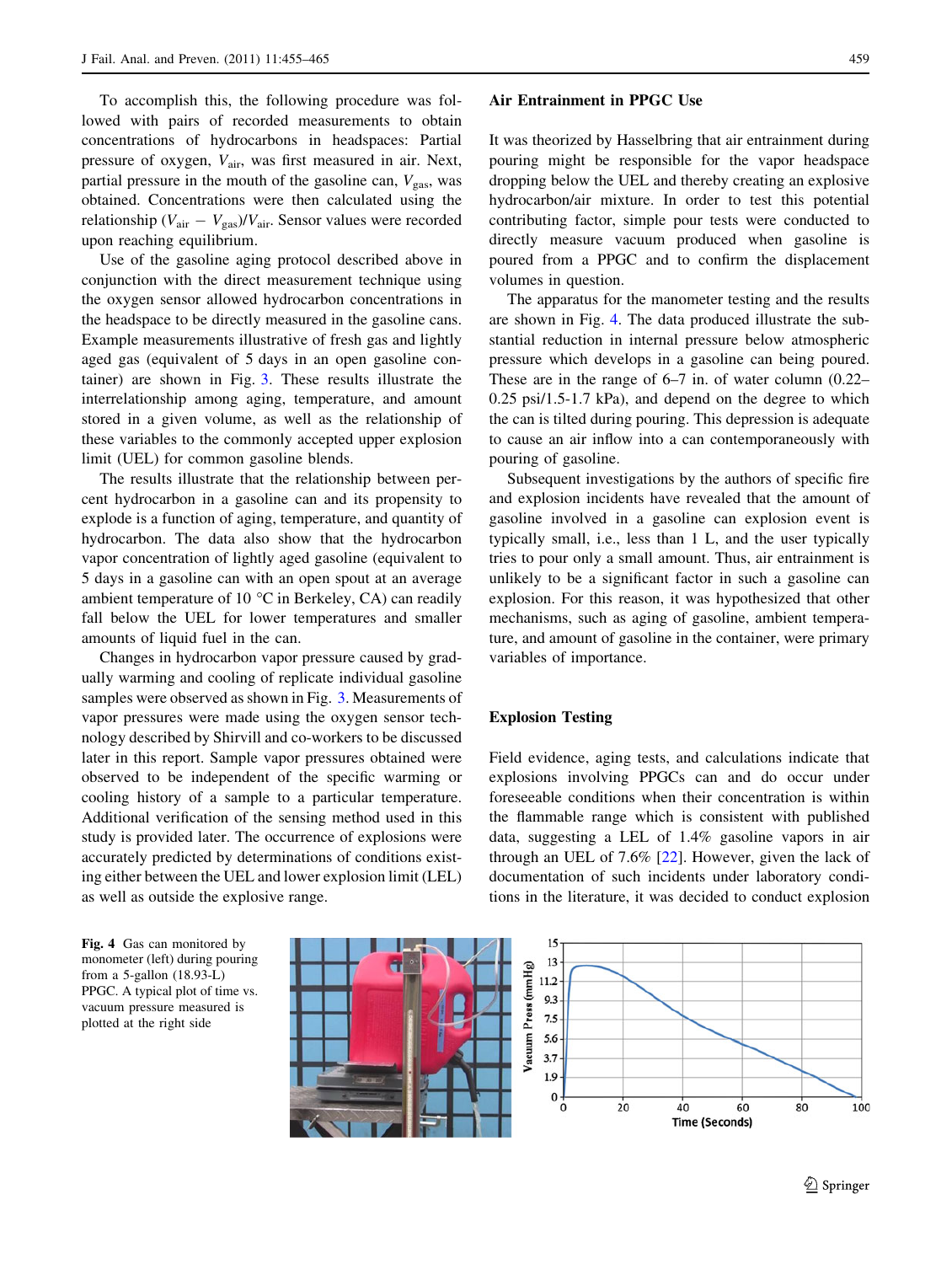To accomplish this, the following procedure was followed with pairs of recorded measurements to obtain concentrations of hydrocarbons in headspaces: Partial pressure of oxygen,  $V_{\text{air}}$ , was first measured in air. Next, partial pressure in the mouth of the gasoline can,  $V_{\rm gas}$ , was obtained. Concentrations were then calculated using the relationship ( $V_{\text{air}} - V_{\text{gas}}$ )/ $V_{\text{air}}$ . Sensor values were recorded upon reaching equilibrium.

Use of the gasoline aging protocol described above in conjunction with the direct measurement technique using the oxygen sensor allowed hydrocarbon concentrations in the headspace to be directly measured in the gasoline cans. Example measurements illustrative of fresh gas and lightly aged gas (equivalent of 5 days in an open gasoline container) are shown in Fig. [3](#page-3-0). These results illustrate the interrelationship among aging, temperature, and amount stored in a given volume, as well as the relationship of these variables to the commonly accepted upper explosion limit (UEL) for common gasoline blends.

The results illustrate that the relationship between percent hydrocarbon in a gasoline can and its propensity to explode is a function of aging, temperature, and quantity of hydrocarbon. The data also show that the hydrocarbon vapor concentration of lightly aged gasoline (equivalent to 5 days in a gasoline can with an open spout at an average ambient temperature of 10  $\degree$ C in Berkeley, CA) can readily fall below the UEL for lower temperatures and smaller amounts of liquid fuel in the can.

Changes in hydrocarbon vapor pressure caused by gradually warming and cooling of replicate individual gasoline samples were observed as shown in Fig. [3](#page-3-0). Measurements of vapor pressures were made using the oxygen sensor technology described by Shirvill and co-workers to be discussed later in this report. Sample vapor pressures obtained were observed to be independent of the specific warming or cooling history of a sample to a particular temperature. Additional verification of the sensing method used in this study is provided later. The occurrence of explosions were accurately predicted by determinations of conditions existing either between the UEL and lower explosion limit (LEL) as well as outside the explosive range.

#### Air Entrainment in PPGC Use

It was theorized by Hasselbring that air entrainment during pouring might be responsible for the vapor headspace dropping below the UEL and thereby creating an explosive hydrocarbon/air mixture. In order to test this potential contributing factor, simple pour tests were conducted to directly measure vacuum produced when gasoline is poured from a PPGC and to confirm the displacement volumes in question.

The apparatus for the manometer testing and the results are shown in Fig. 4. The data produced illustrate the substantial reduction in internal pressure below atmospheric pressure which develops in a gasoline can being poured. These are in the range of 6–7 in. of water column (0.22– 0.25 psi/1.5-1.7 kPa), and depend on the degree to which the can is tilted during pouring. This depression is adequate to cause an air inflow into a can contemporaneously with pouring of gasoline.

Subsequent investigations by the authors of specific fire and explosion incidents have revealed that the amount of gasoline involved in a gasoline can explosion event is typically small, i.e., less than 1 L, and the user typically tries to pour only a small amount. Thus, air entrainment is unlikely to be a significant factor in such a gasoline can explosion. For this reason, it was hypothesized that other mechanisms, such as aging of gasoline, ambient temperature, and amount of gasoline in the container, were primary variables of importance.

#### Explosion Testing

Field evidence, aging tests, and calculations indicate that explosions involving PPGCs can and do occur under foreseeable conditions when their concentration is within the flammable range which is consistent with published data, suggesting a LEL of 1.4% gasoline vapors in air through an UEL of 7.6% [\[22](#page-10-0)]. However, given the lack of documentation of such incidents under laboratory conditions in the literature, it was decided to conduct explosion

Fig. 4 Gas can monitored by monometer (left) during pouring from a 5-gallon (18.93-L) PPGC. A typical plot of time vs. vacuum pressure measured is plotted at the right side

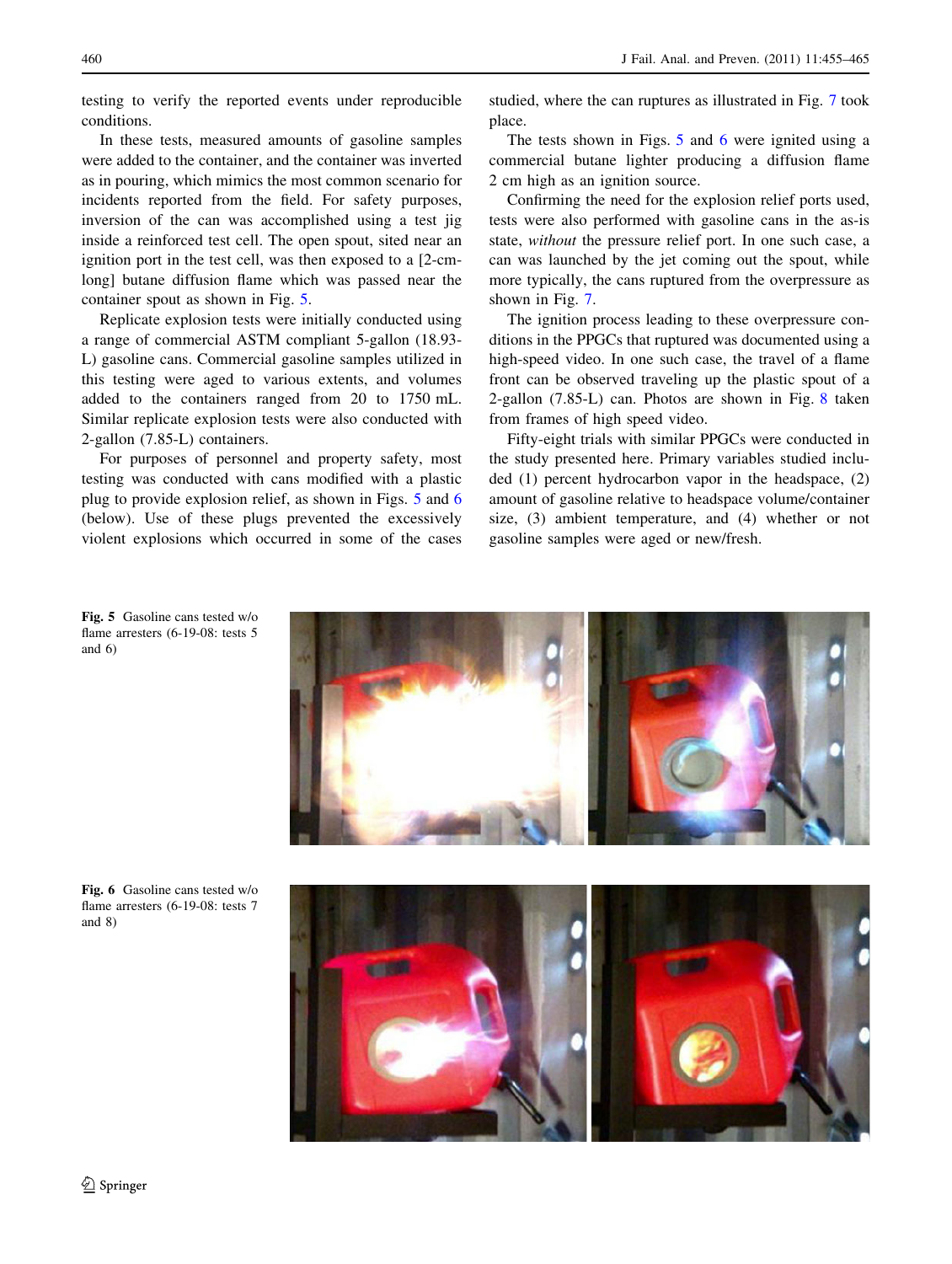testing to verify the reported events under reproducible conditions.

In these tests, measured amounts of gasoline samples were added to the container, and the container was inverted as in pouring, which mimics the most common scenario for incidents reported from the field. For safety purposes, inversion of the can was accomplished using a test jig inside a reinforced test cell. The open spout, sited near an ignition port in the test cell, was then exposed to a [2-cmlong] butane diffusion flame which was passed near the container spout as shown in Fig. 5.

Replicate explosion tests were initially conducted using a range of commercial ASTM compliant 5-gallon (18.93- L) gasoline cans. Commercial gasoline samples utilized in this testing were aged to various extents, and volumes added to the containers ranged from 20 to 1750 mL. Similar replicate explosion tests were also conducted with 2-gallon (7.85-L) containers.

For purposes of personnel and property safety, most testing was conducted with cans modified with a plastic plug to provide explosion relief, as shown in Figs. 5 and 6 (below). Use of these plugs prevented the excessively violent explosions which occurred in some of the cases studied, where the can ruptures as illustrated in Fig. [7](#page-6-0) took place.

The tests shown in Figs. 5 and 6 were ignited using a commercial butane lighter producing a diffusion flame 2 cm high as an ignition source.

Confirming the need for the explosion relief ports used, tests were also performed with gasoline cans in the as-is state, without the pressure relief port. In one such case, a can was launched by the jet coming out the spout, while more typically, the cans ruptured from the overpressure as shown in Fig. [7.](#page-6-0)

The ignition process leading to these overpressure conditions in the PPGCs that ruptured was documented using a high-speed video. In one such case, the travel of a flame front can be observed traveling up the plastic spout of a 2-gallon (7.85-L) can. Photos are shown in Fig. [8](#page-6-0) taken from frames of high speed video.

Fifty-eight trials with similar PPGCs were conducted in the study presented here. Primary variables studied included (1) percent hydrocarbon vapor in the headspace, (2) amount of gasoline relative to headspace volume/container size, (3) ambient temperature, and (4) whether or not gasoline samples were aged or new/fresh.



Fig. 5 Gasoline cans tested w/o flame arresters (6-19-08: tests 5 and 6)

Fig. 6 Gasoline cans tested w/o flame arresters (6-19-08: tests 7 and 8)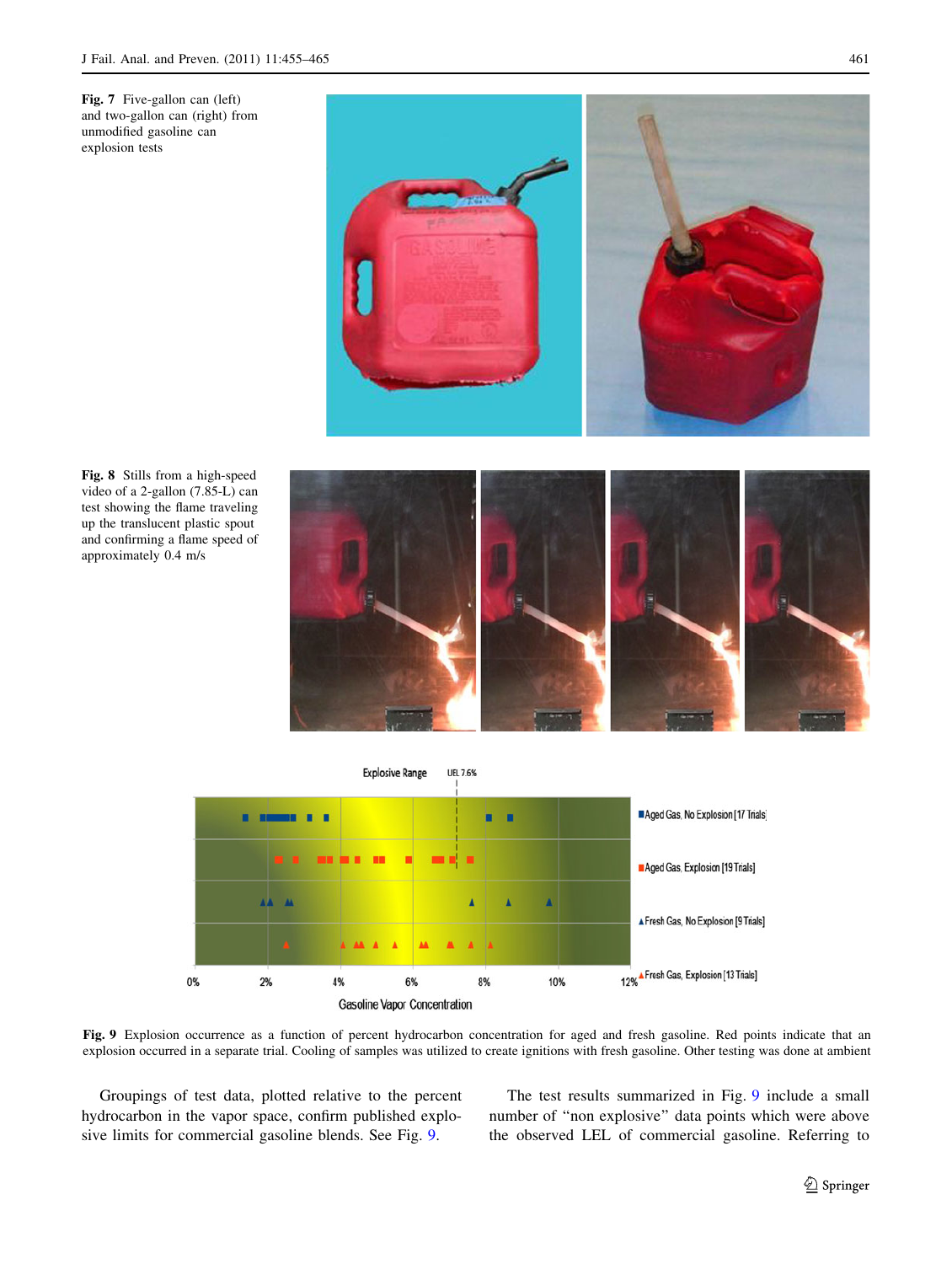<span id="page-6-0"></span>



Fig. 8 Stills from a high-speed video of a 2-gallon (7.85-L) can test showing the flame traveling up the translucent plastic spout and confirming a flame speed of approximately 0.4 m/s





Fig. 9 Explosion occurrence as a function of percent hydrocarbon concentration for aged and fresh gasoline. Red points indicate that an explosion occurred in a separate trial. Cooling of samples was utilized to create ignitions with fresh gasoline. Other testing was done at ambient

Groupings of test data, plotted relative to the percent hydrocarbon in the vapor space, confirm published explosive limits for commercial gasoline blends. See Fig. 9.

The test results summarized in Fig. 9 include a small number of ''non explosive'' data points which were above the observed LEL of commercial gasoline. Referring to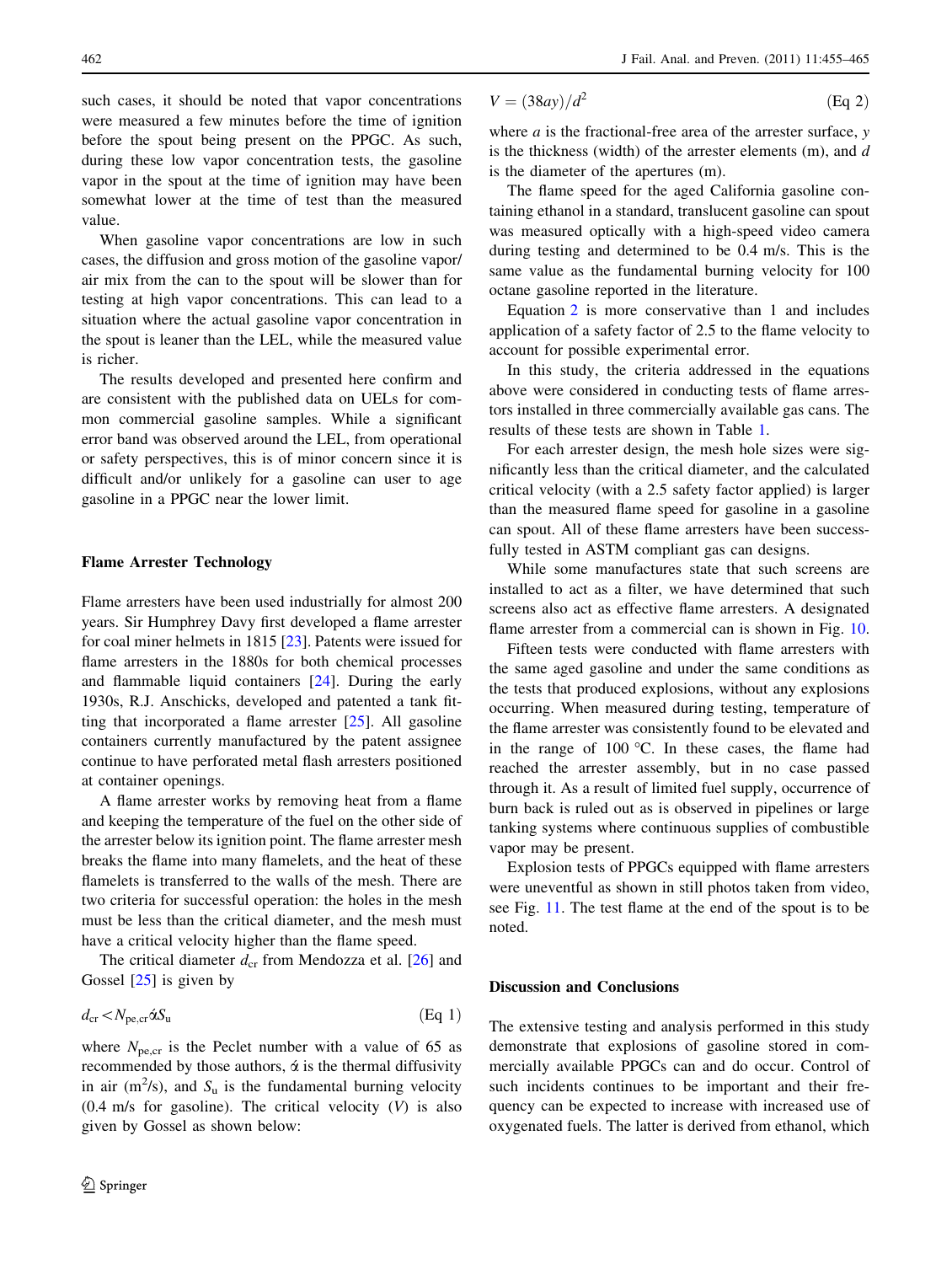<span id="page-7-0"></span>such cases, it should be noted that vapor concentrations were measured a few minutes before the time of ignition before the spout being present on the PPGC. As such, during these low vapor concentration tests, the gasoline vapor in the spout at the time of ignition may have been somewhat lower at the time of test than the measured value.

When gasoline vapor concentrations are low in such cases, the diffusion and gross motion of the gasoline vapor/ air mix from the can to the spout will be slower than for testing at high vapor concentrations. This can lead to a situation where the actual gasoline vapor concentration in the spout is leaner than the LEL, while the measured value is richer.

The results developed and presented here confirm and are consistent with the published data on UELs for common commercial gasoline samples. While a significant error band was observed around the LEL, from operational or safety perspectives, this is of minor concern since it is difficult and/or unlikely for a gasoline can user to age gasoline in a PPGC near the lower limit.

#### Flame Arrester Technology

Flame arresters have been used industrially for almost 200 years. Sir Humphrey Davy first developed a flame arrester for coal miner helmets in 1815 [\[23](#page-10-0)]. Patents were issued for flame arresters in the 1880s for both chemical processes and flammable liquid containers [[24\]](#page-10-0). During the early 1930s, R.J. Anschicks, developed and patented a tank fitting that incorporated a flame arrester [\[25](#page-10-0)]. All gasoline containers currently manufactured by the patent assignee continue to have perforated metal flash arresters positioned at container openings.

A flame arrester works by removing heat from a flame and keeping the temperature of the fuel on the other side of the arrester below its ignition point. The flame arrester mesh breaks the flame into many flamelets, and the heat of these flamelets is transferred to the walls of the mesh. There are two criteria for successful operation: the holes in the mesh must be less than the critical diameter, and the mesh must have a critical velocity higher than the flame speed.

The critical diameter  $d_{cr}$  from Mendozza et al. [\[26](#page-10-0)] and Gossel  $[25]$  $[25]$  is given by

$$
d_{\rm cr} < N_{\rm pe, cr} \acute{\alpha} S_{\rm u} \tag{Eq 1}
$$

where  $N_{\text{pec}}$  is the Peclet number with a value of 65 as recommended by those authors,  $\acute{\alpha}$  is the thermal diffusivity in air ( $m^2/s$ ), and  $S_u$  is the fundamental burning velocity  $(0.4 \text{ m/s}$  for gasoline). The critical velocity  $(V)$  is also given by Gossel as shown below:

$$
V = (38ay)/d^2 \tag{Eq 2}
$$

where  $a$  is the fractional-free area of the arrester surface,  $y$ is the thickness (width) of the arrester elements  $(m)$ , and  $d$ is the diameter of the apertures (m).

The flame speed for the aged California gasoline containing ethanol in a standard, translucent gasoline can spout was measured optically with a high-speed video camera during testing and determined to be 0.4 m/s. This is the same value as the fundamental burning velocity for 100 octane gasoline reported in the literature.

Equation 2 is more conservative than 1 and includes application of a safety factor of 2.5 to the flame velocity to account for possible experimental error.

In this study, the criteria addressed in the equations above were considered in conducting tests of flame arrestors installed in three commercially available gas cans. The results of these tests are shown in Table [1](#page-8-0).

For each arrester design, the mesh hole sizes were significantly less than the critical diameter, and the calculated critical velocity (with a 2.5 safety factor applied) is larger than the measured flame speed for gasoline in a gasoline can spout. All of these flame arresters have been successfully tested in ASTM compliant gas can designs.

While some manufactures state that such screens are installed to act as a filter, we have determined that such screens also act as effective flame arresters. A designated flame arrester from a commercial can is shown in Fig. [10.](#page-8-0)

Fifteen tests were conducted with flame arresters with the same aged gasoline and under the same conditions as the tests that produced explosions, without any explosions occurring. When measured during testing, temperature of the flame arrester was consistently found to be elevated and in the range of  $100^{\circ}$ C. In these cases, the flame had reached the arrester assembly, but in no case passed through it. As a result of limited fuel supply, occurrence of burn back is ruled out as is observed in pipelines or large tanking systems where continuous supplies of combustible vapor may be present.

Explosion tests of PPGCs equipped with flame arresters were uneventful as shown in still photos taken from video, see Fig. [11](#page-9-0). The test flame at the end of the spout is to be noted.

## Discussion and Conclusions

The extensive testing and analysis performed in this study demonstrate that explosions of gasoline stored in commercially available PPGCs can and do occur. Control of such incidents continues to be important and their frequency can be expected to increase with increased use of oxygenated fuels. The latter is derived from ethanol, which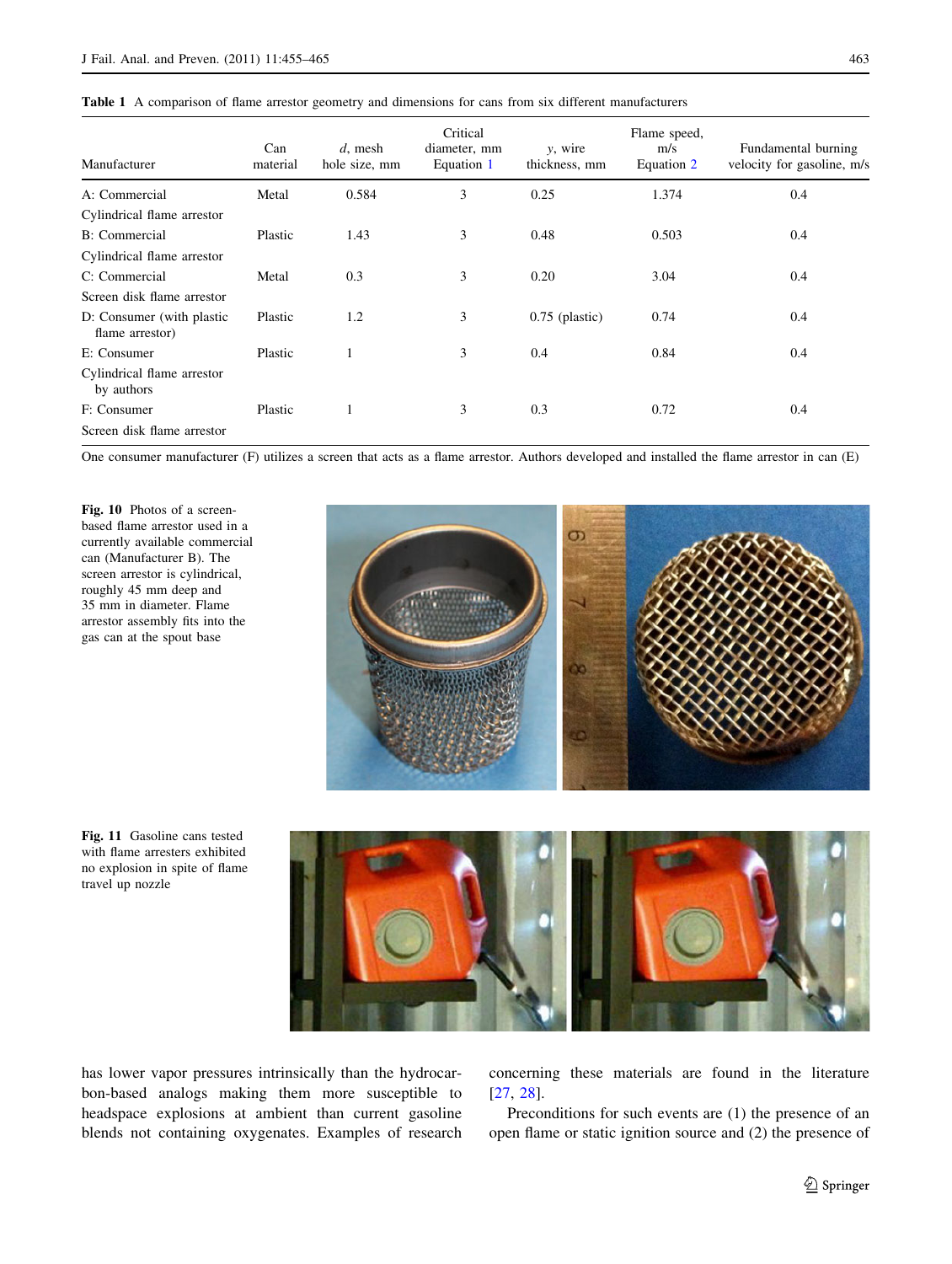<span id="page-8-0"></span>

| Manufacturer                                 | Can<br>material | $d$ , mesh<br>hole size, mm | Critical<br>diameter, mm<br>Equation 1 | y, wire<br>thickness, mm | Flame speed,<br>m/s<br>Equation 2 | Fundamental burning<br>velocity for gasoline, m/s |
|----------------------------------------------|-----------------|-----------------------------|----------------------------------------|--------------------------|-----------------------------------|---------------------------------------------------|
| A: Commercial                                | Metal           | 0.584                       | 3                                      | 0.25                     | 1.374                             | 0.4                                               |
| Cylindrical flame arrestor                   |                 |                             |                                        |                          |                                   |                                                   |
| <b>B</b> : Commercial                        | Plastic         | 1.43                        | 3                                      | 0.48                     | 0.503                             | 0.4                                               |
| Cylindrical flame arrestor                   |                 |                             |                                        |                          |                                   |                                                   |
| C: Commercial                                | Metal           | 0.3                         | 3                                      | 0.20                     | 3.04                              | 0.4                                               |
| Screen disk flame arrestor                   |                 |                             |                                        |                          |                                   |                                                   |
| D: Consumer (with plastic<br>flame arrestor) | Plastic         | 1.2                         | 3                                      | $0.75$ (plastic)         | 0.74                              | 0.4                                               |
| E: Consumer                                  | Plastic         |                             | 3                                      | 0.4                      | 0.84                              | 0.4                                               |
| Cylindrical flame arrestor<br>by authors     |                 |                             |                                        |                          |                                   |                                                   |
| F: Consumer                                  | Plastic         |                             | 3                                      | 0.3                      | 0.72                              | 0.4                                               |
| Screen disk flame arrestor                   |                 |                             |                                        |                          |                                   |                                                   |

One consumer manufacturer (F) utilizes a screen that acts as a flame arrestor. Authors developed and installed the flame arrestor in can (E)

Fig. 10 Photos of a screenbased flame arrestor used in a currently available commercial can (Manufacturer B). The screen arrestor is cylindrical, roughly 45 mm deep and 35 mm in diameter. Flame arrestor assembly fits into the gas can at the spout base



Fig. 11 Gasoline cans tested with flame arresters exhibited no explosion in spite of flame travel up nozzle



has lower vapor pressures intrinsically than the hydrocarbon-based analogs making them more susceptible to headspace explosions at ambient than current gasoline blends not containing oxygenates. Examples of research concerning these materials are found in the literature [\[27](#page-10-0), [28](#page-10-0)].

Preconditions for such events are (1) the presence of an open flame or static ignition source and (2) the presence of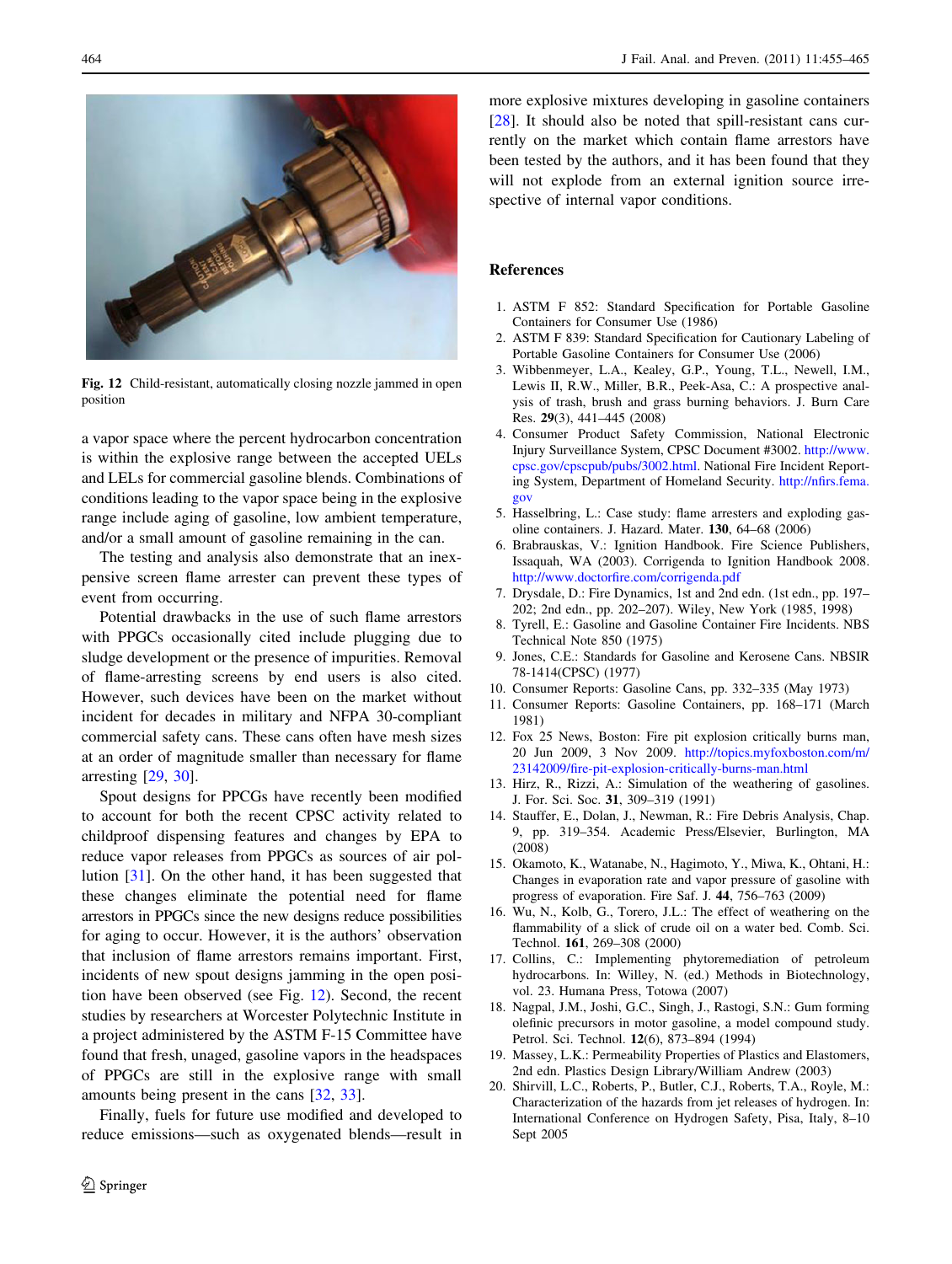<span id="page-9-0"></span>



Fig. 12 Child-resistant, automatically closing nozzle jammed in open position

a vapor space where the percent hydrocarbon concentration is within the explosive range between the accepted UELs and LELs for commercial gasoline blends. Combinations of conditions leading to the vapor space being in the explosive range include aging of gasoline, low ambient temperature, and/or a small amount of gasoline remaining in the can.

The testing and analysis also demonstrate that an inexpensive screen flame arrester can prevent these types of event from occurring.

Potential drawbacks in the use of such flame arrestors with PPGCs occasionally cited include plugging due to sludge development or the presence of impurities. Removal of flame-arresting screens by end users is also cited. However, such devices have been on the market without incident for decades in military and NFPA 30-compliant commercial safety cans. These cans often have mesh sizes at an order of magnitude smaller than necessary for flame arresting [[29,](#page-10-0) [30](#page-10-0)].

Spout designs for PPCGs have recently been modified to account for both the recent CPSC activity related to childproof dispensing features and changes by EPA to reduce vapor releases from PPGCs as sources of air pollution [\[31](#page-10-0)]. On the other hand, it has been suggested that these changes eliminate the potential need for flame arrestors in PPGCs since the new designs reduce possibilities for aging to occur. However, it is the authors' observation that inclusion of flame arrestors remains important. First, incidents of new spout designs jamming in the open position have been observed (see Fig. [12\)](#page-8-0). Second, the recent studies by researchers at Worcester Polytechnic Institute in a project administered by the ASTM F-15 Committee have found that fresh, unaged, gasoline vapors in the headspaces of PPGCs are still in the explosive range with small amounts being present in the cans [\[32](#page-10-0), [33\]](#page-10-0).

Finally, fuels for future use modified and developed to reduce emissions—such as oxygenated blends—result in more explosive mixtures developing in gasoline containers [\[28](#page-10-0)]. It should also be noted that spill-resistant cans currently on the market which contain flame arrestors have been tested by the authors, and it has been found that they will not explode from an external ignition source irrespective of internal vapor conditions.

## References

- 1. ASTM F 852: Standard Specification for Portable Gasoline Containers for Consumer Use (1986)
- 2. ASTM F 839: Standard Specification for Cautionary Labeling of Portable Gasoline Containers for Consumer Use (2006)
- 3. Wibbenmeyer, L.A., Kealey, G.P., Young, T.L., Newell, I.M., Lewis II, R.W., Miller, B.R., Peek-Asa, C.: A prospective analysis of trash, brush and grass burning behaviors. J. Burn Care Res. 29(3), 441–445 (2008)
- 4. Consumer Product Safety Commission, National Electronic Injury Surveillance System, CPSC Document #3002. [http://www.](http://www.cpsc.gov/cpscpub/pubs/3002.html) [cpsc.gov/cpscpub/pubs/3002.html](http://www.cpsc.gov/cpscpub/pubs/3002.html). National Fire Incident Reporting System, Department of Homeland Security. [http://nfirs.fema.](http://nfirs.fema.gov) [gov](http://nfirs.fema.gov)
- 5. Hasselbring, L.: Case study: flame arresters and exploding gasoline containers. J. Hazard. Mater. 130, 64–68 (2006)
- 6. Brabrauskas, V.: Ignition Handbook. Fire Science Publishers, Issaquah, WA (2003). Corrigenda to Ignition Handbook 2008. <http://www.doctorfire.com/corrigenda.pdf>
- 7. Drysdale, D.: Fire Dynamics, 1st and 2nd edn. (1st edn., pp. 197– 202; 2nd edn., pp. 202–207). Wiley, New York (1985, 1998)
- 8. Tyrell, E.: Gasoline and Gasoline Container Fire Incidents. NBS Technical Note 850 (1975)
- 9. Jones, C.E.: Standards for Gasoline and Kerosene Cans. NBSIR 78-1414(CPSC) (1977)
- 10. Consumer Reports: Gasoline Cans, pp. 332–335 (May 1973)
- 11. Consumer Reports: Gasoline Containers, pp. 168–171 (March 1981)
- 12. Fox 25 News, Boston: Fire pit explosion critically burns man, 20 Jun 2009, 3 Nov 2009. [http://topics.myfoxboston.com/m/](http://topics.myfoxboston.com/m/23142009/fire-pit-explosion-critically-burns-man.html) [23142009/fire-pit-explosion-critically-burns-man.html](http://topics.myfoxboston.com/m/23142009/fire-pit-explosion-critically-burns-man.html)
- 13. Hirz, R., Rizzi, A.: Simulation of the weathering of gasolines. J. For. Sci. Soc. 31, 309–319 (1991)
- 14. Stauffer, E., Dolan, J., Newman, R.: Fire Debris Analysis, Chap. 9, pp. 319–354. Academic Press/Elsevier, Burlington, MA (2008)
- 15. Okamoto, K., Watanabe, N., Hagimoto, Y., Miwa, K., Ohtani, H.: Changes in evaporation rate and vapor pressure of gasoline with progress of evaporation. Fire Saf. J. 44, 756–763 (2009)
- 16. Wu, N., Kolb, G., Torero, J.L.: The effect of weathering on the flammability of a slick of crude oil on a water bed. Comb. Sci. Technol. 161, 269–308 (2000)
- 17. Collins, C.: Implementing phytoremediation of petroleum hydrocarbons. In: Willey, N. (ed.) Methods in Biotechnology, vol. 23. Humana Press, Totowa (2007)
- 18. Nagpal, J.M., Joshi, G.C., Singh, J., Rastogi, S.N.: Gum forming olefinic precursors in motor gasoline, a model compound study. Petrol. Sci. Technol. 12(6), 873–894 (1994)
- 19. Massey, L.K.: Permeability Properties of Plastics and Elastomers, 2nd edn. Plastics Design Library/William Andrew (2003)
- 20. Shirvill, L.C., Roberts, P., Butler, C.J., Roberts, T.A., Royle, M.: Characterization of the hazards from jet releases of hydrogen. In: International Conference on Hydrogen Safety, Pisa, Italy, 8–10 Sept 2005